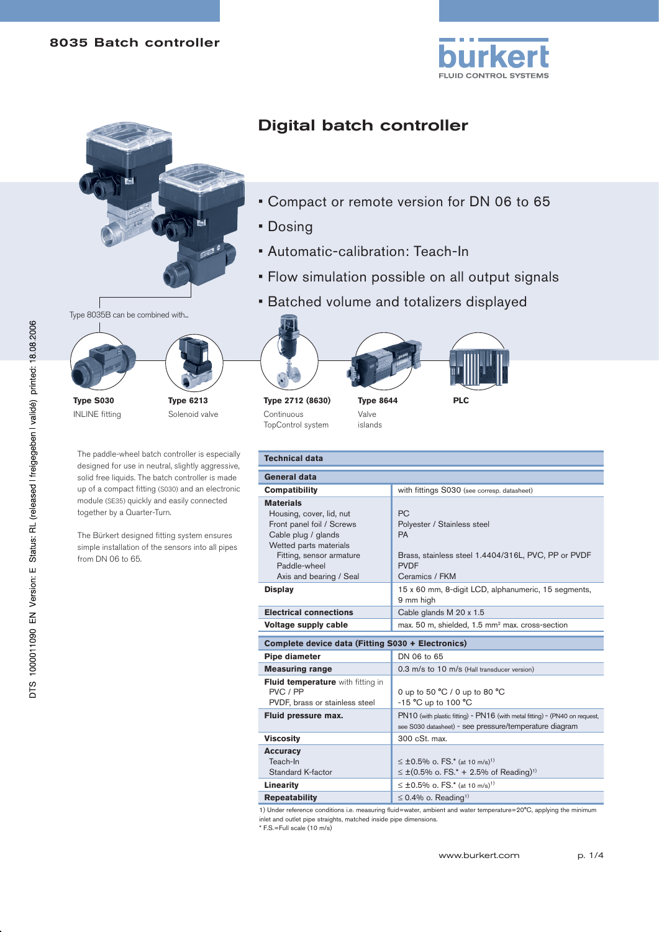



# Digital batch controller

- Compact or remote version for DN 06 to 65
- Dosing
- Automatic-calibration: Teach-In
- Flow simulation possible on all output signals
- Batched volume and totalizers displayed



**Type S030** INLINE fitting



The paddle-wheel batch controller is especially designed for use in neutral, slightly aggressive, solid free liquids. The batch controller is made up of a compact fitting (S030) and an electronic module (SE35) quickly and easily connected together by a Quarter-Turn.

The Bürkert designed fitting system ensures simple installation of the sensors into all pipes from DN 06 to 65.





**Type 8644** Valve





islands

| <b>Technical data</b>                                                                                                                                                                             |                                                                                                                                               |  |  |
|---------------------------------------------------------------------------------------------------------------------------------------------------------------------------------------------------|-----------------------------------------------------------------------------------------------------------------------------------------------|--|--|
| General data                                                                                                                                                                                      |                                                                                                                                               |  |  |
| <b>Compatibility</b>                                                                                                                                                                              | with fittings S030 (see corresp. datasheet)                                                                                                   |  |  |
| <b>Materials</b><br>Housing, cover, lid, nut<br>Front panel foil / Screws<br>Cable plug / glands<br>Wetted parts materials<br>Fitting, sensor armature<br>Paddle-wheel<br>Axis and bearing / Seal | <b>PC</b><br>Polyester / Stainless steel<br><b>PA</b><br>Brass, stainless steel 1.4404/316L, PVC, PP or PVDF<br><b>PVDF</b><br>Ceramics / FKM |  |  |
| <b>Display</b>                                                                                                                                                                                    | 15 x 60 mm, 8-digit LCD, alphanumeric, 15 segments,<br>9 mm high                                                                              |  |  |
| <b>Electrical connections</b>                                                                                                                                                                     | Cable glands M 20 x 1.5                                                                                                                       |  |  |
| Voltage supply cable                                                                                                                                                                              | max. 50 m, shielded, 1.5 mm <sup>2</sup> max. cross-section                                                                                   |  |  |
| Complete device data (Fitting S030 + Electronics)                                                                                                                                                 |                                                                                                                                               |  |  |
| Pipe diameter                                                                                                                                                                                     | DN 06 to 65                                                                                                                                   |  |  |
| <b>Measuring range</b>                                                                                                                                                                            | 0.3 m/s to 10 m/s (Hall transducer version)                                                                                                   |  |  |
| <b>Fluid temperature</b> with fitting in<br>PVC / PP<br>PVDF, brass or stainless steel                                                                                                            | 0 up to 50 $^{\circ}$ C / 0 up to 80 $^{\circ}$ C<br>-15 $^{\circ}$ C up to 100 $^{\circ}$ C                                                  |  |  |
| Fluid pressure max.                                                                                                                                                                               | PN10 (with plastic fitting) - PN16 (with metal fitting) - (PN40 on request,<br>see S030 datasheet) - see pressure/temperature diagram         |  |  |

**Viscosity 300 cSt. max. Accuracy** Teach-In Standard K-factor ≤ ±0.5% o. FS.\* (at 10 m/s)<sup>1)</sup> ≤ ±(0.5% o. FS.\* + 2.5% of Reading)<sup>1)</sup> **Linearity**  $\leq \pm 0.5\%$  o. FS.\* (at 10 m/s)<sup>1)</sup> **Repeatability**  $\leq 0.4\%$  o. Reading<sup>1)</sup>

1) Under reference conditions i.e. measuring fluid=water, ambient and water temperature=20°C, applying the minimum inlet and outlet pipe straights, matched inside pipe dimensions.

\* F.S.=Full scale (10 m/s)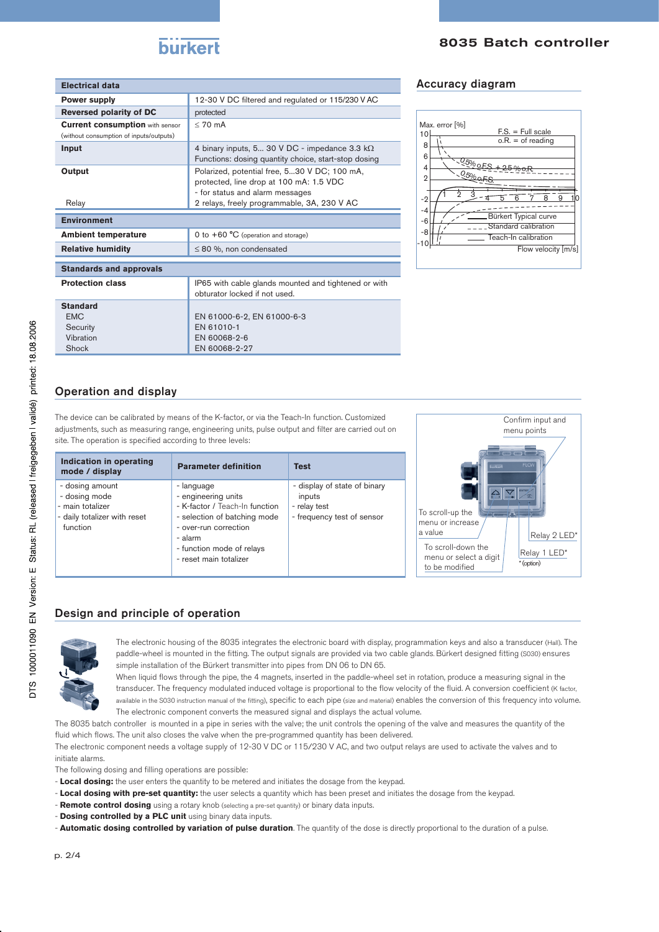| <b>Electrical data</b>                                                            |                                                                                                                            | <b>Accuracy diagram</b>                                            |
|-----------------------------------------------------------------------------------|----------------------------------------------------------------------------------------------------------------------------|--------------------------------------------------------------------|
| <b>Power supply</b>                                                               | 12-30 V DC filtered and regulated or 115/230 V AC                                                                          |                                                                    |
| <b>Reversed polarity of DC</b>                                                    | protected                                                                                                                  |                                                                    |
| <b>Current consumption with sensor</b><br>(without consumption of inputs/outputs) | $< 70$ mA                                                                                                                  | Max. error [%]<br>$F.S. = Full scale$<br>10<br>$o.R. = of reading$ |
| Input                                                                             | 4 binary inputs, 5 30 V DC - impedance 3.3 $k\Omega$<br>Functions: dosing quantity choice, start-stop dosing               | 8<br>6                                                             |
| Output                                                                            | Polarized, potential free, 530 V DC; 100 mA,<br>protected, line drop at 100 mA: 1.5 VDC<br>- for status and alarm messages | <u> - 05% oES + 25% oF</u><br>4<br>$0.5000 + 5$<br>2<br>$-2$       |
| Relay                                                                             | 2 relays, freely programmable, 3A, 230 V AC                                                                                | -4                                                                 |
| <b>Environment</b>                                                                |                                                                                                                            | Bürkert Typical curve<br>$-6$<br>Standard calibration              |
| <b>Ambient temperature</b>                                                        | 0 to $+60 °C$ (operation and storage)                                                                                      | -8<br>Teach-In calibration                                         |
| <b>Relative humidity</b>                                                          | $\leq$ 80 %, non condensated                                                                                               | $-10$<br>Flow velocit                                              |
| <b>Standards and approvals</b>                                                    |                                                                                                                            |                                                                    |

| IP65 with cable glands mounted and tightened or with<br>obturator locked if not used. |
|---------------------------------------------------------------------------------------|
|                                                                                       |
| EN 61000-6-2. EN 61000-6-3                                                            |
| EN 61010-1                                                                            |
| EN 60068-2-6                                                                          |
| EN 60068-2-27                                                                         |
|                                                                                       |

### Accuracy diagram



# Operation and display

The device can be calibrated by means of the K-factor, or via the Teach-In function. Customized adjustments, such as measuring range, engineering units, pulse output and filter are carried out on site. The operation is specified according to three levels:

| Indication in operating<br>mode / display                                                        | <b>Parameter definition</b>                                                                                                                                                                    | <b>Test</b>                                                                          |
|--------------------------------------------------------------------------------------------------|------------------------------------------------------------------------------------------------------------------------------------------------------------------------------------------------|--------------------------------------------------------------------------------------|
| - dosing amount<br>- dosing mode<br>- main totalizer<br>- daily totalizer with reset<br>function | - language<br>- engineering units<br>- K-factor / Teach-In function<br>- selection of batching mode<br>- over-run correction<br>- alarm<br>- function mode of relays<br>- reset main totalizer | - display of state of binary<br>inputs<br>- relay test<br>- frequency test of sensor |



# Design and principle of operation



The electronic housing of the 8035 integrates the electronic board with display, programmation keys and also a transducer (Hall). The paddle-wheel is mounted in the fitting. The output signals are provided via two cable glands. Bürkert designed fitting (S030) ensures simple installation of the Bürkert transmitter into pipes from DN 06 to DN 65.

When liquid flows through the pipe, the 4 magnets, inserted in the paddle-wheel set in rotation, produce a measuring signal in the transducer. The frequency modulated induced voltage is proportional to the flow velocity of the fluid. A conversion coefficient (K factor, available in the S030 instruction manual of the fitting), specific to each pipe (size and material) enables the conversion of this frequency into volume. The electronic component converts the measured signal and displays the actual volume.

The 8035 batch controller is mounted in a pipe in series with the valve; the unit controls the opening of the valve and measures the quantity of the fluid which flows. The unit also closes the valve when the pre-programmed quantity has been delivered.

The electronic component needs a voltage supply of 12-30 V DC or 115/230 V AC, and two output relays are used to activate the valves and to initiate alarms.

The following dosing and filling operations are possible:

- **Local dosing:** the user enters the quantity to be metered and initiates the dosage from the keypad.
- **Local dosing with pre-set quantity:** the user selects a quantity which has been preset and initiates the dosage from the keypad.
- **Remote control dosing** using a rotary knob (selecting a pre-set quantity) or binary data inputs.
- **Dosing controlled by a PLC unit** using binary data inputs.
- **Automatic dosing controlled by variation of pulse duration**. The quantity of the dose is directly proportional to the duration of a pulse.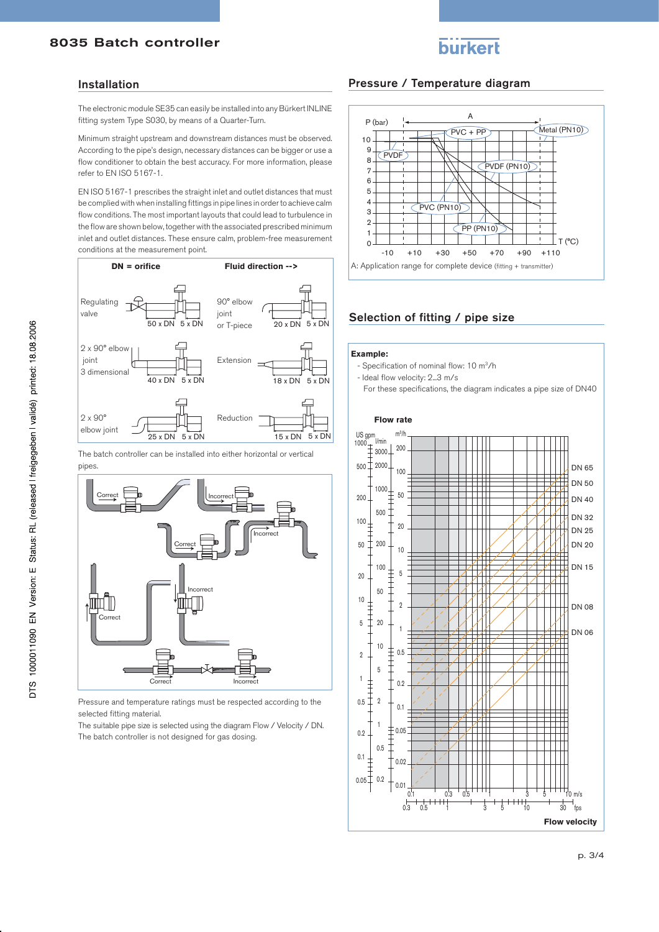# **burkert**

### Installation

The electronic module SE35 can easily be installed into any Bürkert INLINE fitting system Type S030, by means of a Quarter-Turn.

Minimum straight upstream and downstream distances must be observed. According to the pipe's design, necessary distances can be bigger or use a flow conditioner to obtain the best accuracy. For more information, please refer to EN ISO 5167-1.

EN ISO 5167-1 prescribes the straight inlet and outlet distances that must be complied with when installing fittings in pipe lines in order to achieve calm flow conditions. The most important layouts that could lead to turbulence in the flow are shown below, together with the associated prescribed minimum inlet and outlet distances. These ensure calm, problem-free measurement conditions at the measurement point.



The batch controller can be installed into either horizontal or vertical pipes.



Pressure and temperature ratings must be respected according to the selected fitting material.

The suitable pipe size is selected using the diagram Flow / Velocity / DN. The batch controller is not designed for gas dosing.

## Pressure / Temperature diagram



# Selection of fitting / pipe size

#### **Example:**

- Specification of nominal flow: 10 m3/h

- Ideal flow velocity: 2...3 m/s
- For these specifications, the diagram indicates a pipe size of DN40